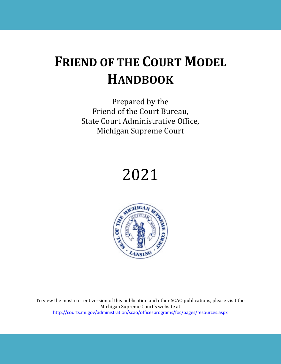# **FRIEND OF THE COURT MODEL HANDBOOK**

Prepared by the Friend of the Court Bureau, State Court Administrative Office, Michigan Supreme Court





To view the most current version of this publication and other SCAO publications, please visit the Michigan Supreme Court's website at <http://courts.mi.gov/administration/scao/officesprograms/foc/pages/resources.aspx>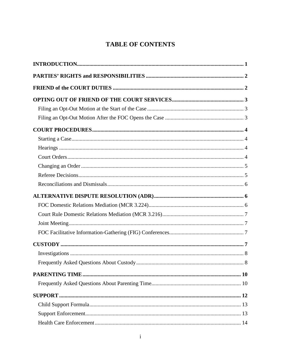# **TABLE OF CONTENTS**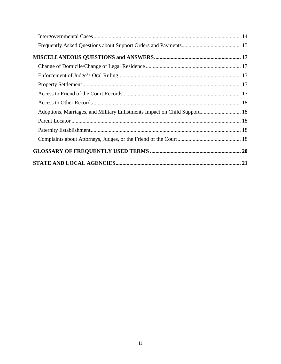| Adoptions, Marriages, and Military Enlistments Impact on Child Support 18 |  |
|---------------------------------------------------------------------------|--|
|                                                                           |  |
|                                                                           |  |
|                                                                           |  |
|                                                                           |  |
|                                                                           |  |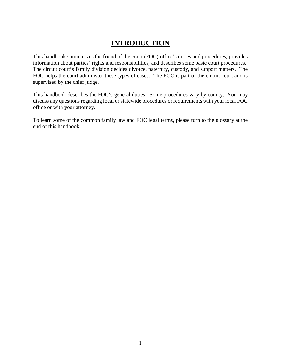# **INTRODUCTION**

<span id="page-3-0"></span>This handbook summarizes the friend of the court (FOC) office's duties and procedures, provides information about parties' rights and responsibilities, and describes some basic court procedures. The circuit court's family division decides divorce, paternity, custody, and support matters. The FOC helps the court administer these types of cases. The FOC is part of the circuit court and is supervised by the chief judge.

This handbook describes the FOC's general duties. Some procedures vary by county. You may discuss any questions regarding local or statewide procedures or requirements with your local FOC office or with your attorney.

To learn some of the common family law and FOC legal terms, please turn to the glossary at the end of this handbook.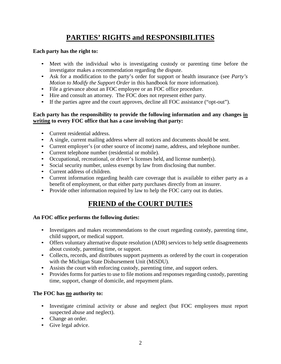# **PARTIES' RIGHTS and RESPONSIBILITIES**

#### <span id="page-4-0"></span>**Each party has the right to:**

- Meet with the individual who is investigating custody or parenting time before the investigator makes a recommendation regarding the dispute.
- Ask for a modification to the party's order for support or health insurance (see *Party's Motion to Modify the Support Order* in this handbook for more information)*.*
- File a grievance about an FOC employee or an FOC office procedure.
- Hire and consult an attorney. The FOC does not represent either party.
- If the parties agree and the court approves, decline all FOC assistance ("opt-out").

#### **Each party has the responsibility to provide the following information and any changes in writing to every FOC office that has a case involving that party:**

- Current residential address.
- A single, current mailing address where all notices and documents should be sent.
- Current employer's (or other source of income) name, address, and telephone number.
- Current telephone number (residential or mobile).
- Occupational, recreational, or driver's licenses held, and license number(s).
- Social security number, unless exempt by law from disclosing that number.
- Current address of children.
- Current information regarding health care coverage that is available to either party as a benefit of employment, or that either party purchases directly from an insurer.
- <span id="page-4-1"></span>• Provide other information required by law to help the FOC carry out its duties.

# **FRIEND of the COURT DUTIES**

### **An FOC office performs the following duties:**

- Investigates and makes recommendations to the court regarding custody, parenting time, child support, or medical support.
- Offers voluntary alternative dispute resolution (ADR) services to help settle disagreements about custody, parenting time, or support.
- Collects, records, and distributes support payments as ordered by the court in cooperation with the Michigan State Disbursement Unit (MiSDU).
- Assists the court with enforcing custody, parenting time, and support orders.
- Provides forms for parties to use to file motions and responses regarding custody, parenting time, support, change of domicile, and repayment plans.

# **The FOC has no authority to:**

- Investigate criminal activity or abuse and neglect (but FOC employees must report suspected abuse and neglect).
- Change an order.
- Give legal advice.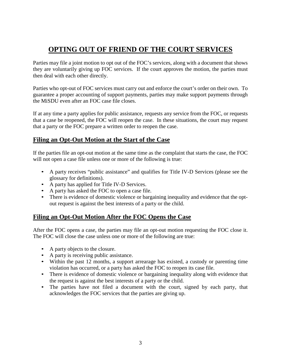# <span id="page-5-0"></span>**OPTING OUT OF FRIEND OF THE COURT SERVICES**

Parties may file a joint motion to opt out of the FOC's services, along with a document that shows they are voluntarily giving up FOC services. If the court approves the motion, the parties must then deal with each other directly.

Parties who opt-out of FOC services must carry out and enforce the court's order on their own. To guarantee a proper accounting of support payments, parties may make support payments through the MiSDU even after an FOC case file closes.

If at any time a party applies for public assistance, requests any service from the FOC, or requests that a case be reopened, the FOC will reopen the case. In these situations, the court may request that a party or the FOC prepare a written order to reopen the case.

# <span id="page-5-1"></span>**Filing an Opt-Out Motion at the Start of the Case**

If the parties file an opt-out motion at the same time as the complaint that starts the case, the FOC will not open a case file unless one or more of the following is true:

- A party receives "public assistance" and qualifies for Title IV-D Services (please see the glossary for definitions).
- A party has applied for Title IV-D Services.
- A party has asked the FOC to open a case file.
- There is evidence of domestic violence or bargaining inequality and evidence that the optout request is against the best interests of a party or the child.

# <span id="page-5-2"></span>**Filing an Opt-Out Motion After the FOC Opens the Case**

After the FOC opens a case, the parties may file an opt-out motion requesting the FOC close it. The FOC will close the case unless one or more of the following are true:

- A party objects to the closure.
- A party is receiving public assistance.
- Within the past 12 months, a support arrearage has existed, a custody or parenting time violation has occurred, or a party has asked the FOC to reopen its case file.
- There is evidence of domestic violence or bargaining inequality along with evidence that the request is against the best interests of a party or the child.
- The parties have not filed a document with the court, signed by each party, that acknowledges the FOC services that the parties are giving up.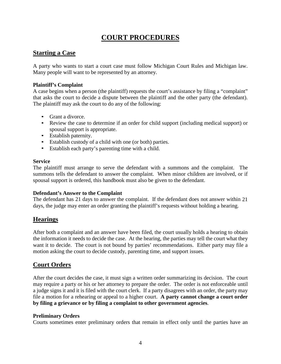# **COURT PROCEDURES**

# <span id="page-6-1"></span><span id="page-6-0"></span>**Starting a Case**

A party who wants to start a court case must follow Michigan Court Rules and Michigan law. Many people will want to be represented by an attorney.

#### **Plaintiff's Complaint**

A case begins when a person (the plaintiff) requests the court's assistance by filing a "complaint" that asks the court to decide a dispute between the plaintiff and the other party (the defendant). The plaintiff may ask the court to do any of the following:

- Grant a divorce.
- Review the case to determine if an order for child support (including medical support) or spousal support is appropriate.
- Establish paternity.
- Establish custody of a child with one (or both) parties.
- Establish each party's parenting time with a child.

#### **Service**

The plaintiff must arrange to serve the defendant with a summons and the complaint. The summons tells the defendant to answer the complaint. When minor children are involved, or if spousal support is ordered, this handbook must also be given to the defendant.

#### **Defendant's Answer to the Complaint**

The defendant has 21 days to answer the complaint. If the defendant does not answer within 21 days, the judge may enter an order granting the plaintiff's requests without holding a hearing.

# <span id="page-6-2"></span>**Hearings**

After both a complaint and an answer have been filed, the court usually holds a hearing to obtain the information it needs to decide the case. At the hearing, the parties may tell the court what they want it to decide. The court is not bound by parties' recommendations. Either party may file a motion asking the court to decide custody, parenting time, and support issues.

# <span id="page-6-3"></span>**Court Orders**

After the court decides the case, it must sign a written order summarizing its decision. The court may require a party or his or her attorney to prepare the order. The order is not enforceable until a judge signs it and it is filed with the court clerk. If a party disagrees with an order, the party may file a motion for a rehearing or appeal to a higher court. **A party cannot change a court order by filing a grievance or by filing a complaint to other government agencies**.

#### **Preliminary Orders**

Courts sometimes enter preliminary orders that remain in effect only until the parties have an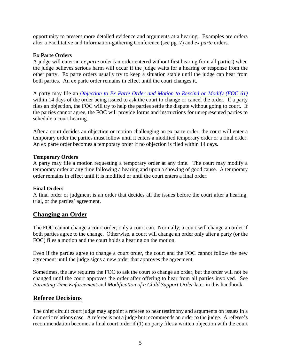opportunity to present more detailed evidence and arguments at a hearing. Examples are orders after a Facilitative and Information-gathering Conference (see pg. 7) and *ex parte* orders.

#### **Ex Parte Orders**

A judge will enter an *ex parte* order (an order entered without first hearing from all parties) when the judge believes serious harm will occur if the judge waits for a hearing or response from the other party. Ex parte orders usually try to keep a situation stable until the judge can hear from both parties. An ex parte order remains in effect until the court changes it.

A party may file an *[Objection to Ex Parte Order and Motion to Rescind or Modify \(FOC 61\)](https://courts.michigan.gov/Administration/SCAO/Forms/courtforms/foc61.pdf)* within 14 days of the order being issued to ask the court to change or cancel the order. If a party files an objection, the FOC will try to help the parties settle the dispute without going to court. If the parties cannot agree, the FOC will provide forms and instructions for unrepresented parties to schedule a court hearing.

After a court decides an objection or motion challenging an ex parte order, the court will enter a temporary order the parties must follow until it enters a modified temporary order or a final order. An ex parte order becomes a temporary order if no objection is filed within 14 days.

#### **Temporary Orders**

A party may file a motion requesting a temporary order at any time. The court may modify a temporary order at any time following a hearing and upon a showing of good cause. A temporary order remains in effect until it is modified or until the court enters a final order.

#### **Final Orders**

A final order or judgment is an order that decides all the issues before the court after a hearing, trial, or the parties' agreement.

### <span id="page-7-0"></span>**Changing an Order**

The FOC cannot change a court order; only a court can. Normally, a court will change an order if both parties agree to the change. Otherwise, a court will change an order only after a party (or the FOC) files a motion and the court holds a hearing on the motion.

Even if the parties agree to change a court order, the court and the FOC cannot follow the new agreement until the judge signs a new order that approves the agreement.

Sometimes, the law requires the FOC to ask the court to change an order, but the order will not be changed until the court approves the order after offering to hear from all parties involved. See *Parenting Time Enforcement and Modification of a Child Support Order later in this handbook.* 

### <span id="page-7-1"></span>**Referee Decisions**

The chief circuit court judge may appoint a referee to hear testimony and arguments on issues in a domestic relations case. A referee is not a judge but recommends an order to the judge. A referee's recommendation becomes a final court order if (1) no party files a written objection with the court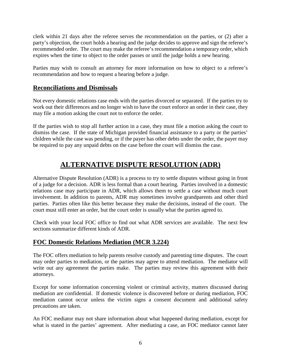clerk within 21 days after the referee serves the recommendation on the parties, or (2) after a party's objection, the court holds a hearing and the judge decides to approve and sign the referee's recommended order. The court may make the referee's recommendation a temporary order, which expires when the time to object to the order passes or until the judge holds a new hearing.

Parties may wish to consult an attorney for more information on how to object to a referee's recommendation and how to request a hearing before a judge.

### <span id="page-8-0"></span>**Reconciliations and Dismissals**

Not every domestic relations case ends with the parties divorced or separated. If the parties try to work out their differences and no longer wish to have the court enforce an order in their case, they may file a motion asking the court not to enforce the order.

If the parties wish to stop all further action in a case, they must file a motion asking the court to dismiss the case. If the state of Michigan provided financial assistance to a party or the parties' children while the case was pending, or if the payer has other debts under the order, the payer may be required to pay any unpaid debts on the case before the court will dismiss the case.

# **ALTERNATIVE DISPUTE RESOLUTION (ADR)**

<span id="page-8-1"></span>Alternative Dispute Resolution (ADR) is a process to try to settle disputes without going in front of a judge for a decision. ADR is less formal than a court hearing. Parties involved in a domestic relations case may participate in ADR, which allows them to settle a case without much court involvement. In addition to parents, ADR may sometimes involve grandparents and other third parties. Parties often like this better because they make the decisions, instead of the court. The court must still enter an order, but the court order is usually what the parties agreed to.

Check with your local FOC office to find out what ADR services are available. The next few sections summarize different kinds of ADR.

# <span id="page-8-2"></span>**FOC Domestic Relations Mediation (MCR 3.224)**

The FOC offers mediation to help parents resolve custody and parenting time disputes. The court may order parties to mediation, or the parties may agree to attend mediation. The mediator will write out any agreement the parties make. The parties may review this agreement with their attorneys.

Except for some information concerning violent or criminal activity, matters discussed during mediation are confidential. If domestic violence is discovered before or during mediation, FOC mediation cannot occur unless the victim signs a consent document and additional safety precautions are taken.

An FOC mediator may not share information about what happened during mediation, except for what is stated in the parties' agreement. After mediating a case, an FOC mediator cannot later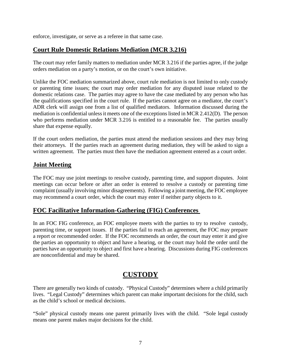enforce, investigate, or serve as a referee in that same case.

# <span id="page-9-0"></span>**Court Rule Domestic Relations Mediation (MCR 3.216)**

The court may refer family matters to mediation under MCR 3.216 if the parties agree, if the judge orders mediation on a party's motion, or on the court's own initiative.

Unlike the FOC mediation summarized above, court rule mediation is not limited to only custody or parenting time issues; the court may order mediation for any disputed issue related to the domestic relations case. The parties may agree to have the case mediated by any person who has the qualifications specified in the court rule. If the parties cannot agree on a mediator, the court's ADR clerk will assign one from a list of qualified mediators. Information discussed during the mediation is confidential unless it meets one of the exceptions listed in MCR 2.412(D). The person who performs mediation under MCR 3.216 is entitled to a reasonable fee. The parties usually share that expense equally.

If the court orders mediation, the parties must attend the mediation sessions and they may bring their attorneys. If the parties reach an agreement during mediation, they will be asked to sign a written agreement. The parties must then have the mediation agreement entered as a court order.

# <span id="page-9-1"></span>**Joint Meeting**

The FOC may use joint meetings to resolve custody, parenting time, and support disputes. Joint meetings can occur before or after an order is entered to resolve a custody or parenting time complaint (usually involving minor disagreements). Following a joint meeting, the FOC employee may recommend a court order, which the court may enter if neither party objects to it.

# <span id="page-9-2"></span>**FOC Facilitative Information-Gathering (FIG) Conferences**

In an FOC FIG conference, an FOC employee meets with the parties to try to resolve custody, parenting time, or support issues. If the parties fail to reach an agreement, the FOC may prepare a report or recommended order. If the FOC recommends an order, the court may enter it and give the parties an opportunity to object and have a hearing, or the court may hold the order until the parties have an opportunity to object and first have a hearing. Discussions during FIG conferences are nonconfidential and may be shared.

# **CUSTODY**

<span id="page-9-3"></span>There are generally two kinds of custody. "Physical Custody" determines where a child primarily lives. "Legal Custody" determines which parent can make important decisions for the child, such as the child's school or medical decisions.

"Sole" physical custody means one parent primarily lives with the child. "Sole legal custody means one parent makes major decisions for the child.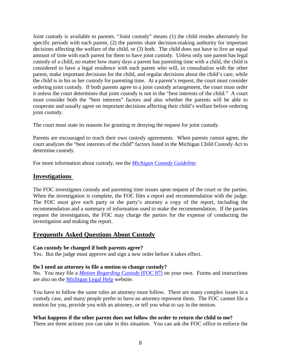Joint custody is available to parents. "Joint custody" means (1) the child resides alternately for specific periods with each parent, (2) the parents share decision-making authority for important decisions affecting the welfare of the child, or (3) both. The child does not have to live an equal amount of time with each parent for them to have joint custody. Unless only one parent has legal custody of a child, no matter how many days a parent has parenting time with a child, the child is considered to have a legal residence with each parent who will, in consultation with the other parent, make important decisions for the child, and regular decisions about the child's care, while the child is in his or her custody for parenting time. At a parent's request, the court must consider ordering joint custody. If both parents agree to a joint custody arrangement, the court must order it unless the court determines that joint custody is not in the "best interests of the child." A court must consider both the "best interests" factors and also whether the parents will be able to cooperate and usually agree on important decisions affecting their child's welfare before ordering joint custody.

The court must state its reasons for granting or denying the request for joint custody.

Parents are encouraged to reach their own custody agreements. When parents cannot agree, the court analyzes the "best interests of the child" factors listed in the Michigan Child Custody Act to determine custody.

For more information about custody, see the *[Michigan Custody Guideline](https://courts.michigan.gov/Administration/SCAO/Resources/Documents/Publications/Manuals/focb/custodyguideline.pdf)*.

## <span id="page-10-0"></span>**Investigations**

The FOC investigates custody and parenting time issues upon request of the court or the parties. When the investigation is complete, the FOC files a report and recommendation with the judge. The FOC must give each party or the party's attorney a copy of the report, including the recommendation and a summary of information used to make the recommendation. If the parties request the investigation, the FOC may charge the parties for the expense of conducting the investigation and making the report.

### <span id="page-10-1"></span>**Frequently Asked Questions About Custody**

#### **Can custody be changed if both parents agree?**

Yes. But the judge must approve and sign a new order before it takes effect.

#### **Do I need an attorney to file a motion to change custody?**

No. You may file a *[Motion Regarding Custody](https://courts.michigan.gov/Administration/SCAO/Forms/courtforms/foc87.pdf)* (FOC 87) on your own. Forms and instructions are also on the [Michigan Legal Help](https://michiganlegalhelp.org/self-help-tools/family/changing-custody-order) website.

You have to follow the same rules an attorney must follow. There are many complex issues in a custody case, and many people prefer to have an attorney represent them. The FOC cannot file a motion for you, provide you with an attorney, or tell you what to say in the motion.

#### **What happens if the other parent does not follow the order to return the child to me?**

There are three actions you can take in this situation. You can ask the FOC office to enforce the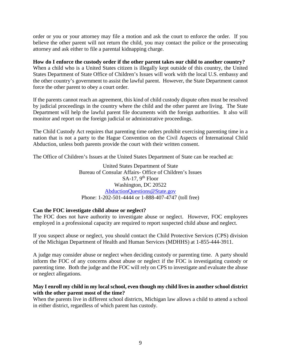order or you or your attorney may file a motion and ask the court to enforce the order. If you believe the other parent will not return the child, you may contact the police or the prosecuting attorney and ask either to file a parental kidnapping charge.

#### **How do I enforce the custody order if the other parent takes our child to another country?**

When a child who is a United States citizen is illegally kept outside of this country, the United States Department of State Office of Children's Issues will work with the local U.S. embassy and the other country's government to assist the lawful parent. However, the State Department cannot force the other parent to obey a court order.

If the parents cannot reach an agreement, this kind of child custody dispute often must be resolved by judicial proceedings in the country where the child and the other parent are living. The State Department will help the lawful parent file documents with the foreign authorities. It also will monitor and report on the foreign judicial or administrative proceedings.

The Child Custody Act requires that parenting time orders prohibit exercising parenting time in a nation that is not a party to the Hague Convention on the Civil Aspects of International Child Abduction, unless both parents provide the court with their written consent.

The Office of Children's Issues at the United States Department of State can be reached at:

United States Department of State Bureau of Consular Affairs- Office of Children's Issues  $SA-17$ , 9<sup>th</sup> Floor Washington, DC 20522 [AbductionQuestions@State.gov](mailto:AbductionQuestions@State.gov) Phone: 1-202-501-4444 or 1-888-407-4747 (toll free)

#### **Can the FOC investigate child abuse or neglect?**

The FOC does not have authority to investigate abuse or neglect. However, FOC employees employed in a professional capacity are required to report suspected child abuse and neglect.

If you suspect abuse or neglect, you should contact the Child Protective Services (CPS) division of the Michigan Department of Health and Human Services (MDHHS) at 1-855-444-3911.

A judge may consider abuse or neglect when deciding custody or parenting time. A party should inform the FOC of any concerns about abuse or neglect if the FOC is investigating custody or parenting time. Both the judge and the FOC will rely on CPS to investigate and evaluate the abuse or neglect allegations.

#### **May I enroll my child in my local school, even though my child lives in another school district with the other parent most of the time?**

When the parents live in different school districts, Michigan law allows a child to attend a school in either district, regardless of which parent has custody.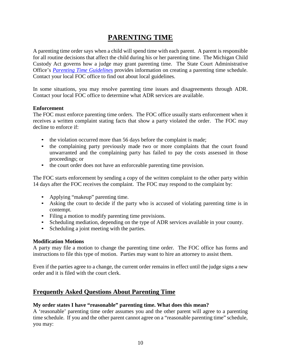# **PARENTING TIME**

<span id="page-12-0"></span>A parenting time order says when a child will spend time with each parent. A parent is responsible for all routine decisions that affect the child during his or her parenting time. The Michigan Child Custody Act governs how a judge may grant parenting time. The State Court Administrative Office's *Parenting [Time Guideline](https://courts.michigan.gov/Administration/SCAO/OfficesPrograms/FOC/Documents/pt_gdlns.pdf)*s provides information on creating a parenting time schedule. Contact your local FOC office to find out about local guidelines.

In some situations, you may resolve parenting time issues and disagreements through ADR. Contact your local FOC office to determine what ADR services are available.

#### **Enforcement**

The FOC must enforce parenting time orders. The FOC office usually starts enforcement when it receives a written complaint stating facts that show a party violated the order. The FOC may decline to enforce if:

- the violation occurred more than 56 days before the complaint is made;
- the complaining party previously made two or more complaints that the court found unwarranted and the complaining party has failed to pay the costs assessed in those proceedings; or
- the court order does not have an enforceable parenting time provision.

The FOC starts enforcement by sending a copy of the written complaint to the other party within 14 days after the FOC receives the complaint. The FOC may respond to the complaint by:

- Applying "makeup" parenting time.
- Asking the court to decide if the party who is accused of violating parenting time is in contempt.
- Filing a motion to modify parenting time provisions.
- Scheduling mediation, depending on the type of ADR services available in your county.
- Scheduling a joint meeting with the parties.

#### **Modification Motions**

A party may file a motion to change the parenting time order. The FOC office has forms and instructions to file this type of motion. Parties may want to hire an attorney to assist them.

Even if the parties agree to a change, the current order remains in effect until the judge signs a new order and it is filed with the court clerk.

### <span id="page-12-1"></span>**Frequently Asked Questions About Parenting Time**

#### **My order states I have "reasonable" parenting time. What does this mean?**

A 'reasonable' parenting time order assumes you and the other parent will agree to a parenting time schedule. If you and the other parent cannot agree on a "reasonable parenting time" schedule, you may: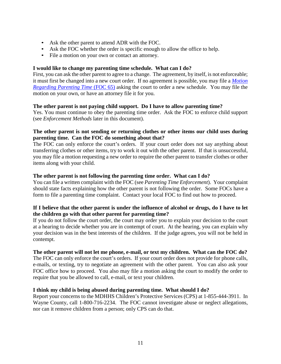- Ask the other parent to attend ADR with the FOC.
- Ask the FOC whether the order is specific enough to allow the office to help.
- File a motion on your own or contact an attorney.

#### **I would like to change my parenting time schedule. What can I do?**

First, you can ask the other parent to agree to a change. The agreement, by itself, is not enforceable; it must first be changed into a new court order. If no agreement is possible, you may file a *[Motion](https://courts.michigan.gov/Administration/SCAO/Forms/courtforms/foc65.pdf)  [Regarding Parenting](https://courts.michigan.gov/Administration/SCAO/Forms/courtforms/foc65.pdf) Time* (FOC 65) asking the court to order a new schedule. You may file the motion on your own, or have an attorney file it for you.

#### **The other parent is not paying child support. Do I have to allow parenting time?**

Yes. You must continue to obey the parenting time order. Ask the FOC to enforce child support (see *Enforcement Methods* later in this document).

#### **The other parent is not sending or returning clothes or other items our child uses during parenting time. Can the FOC do something about that?**

The FOC can only enforce the court's orders. If your court order does not say anything about transferring clothes or other items, try to work it out with the other parent. If that is unsuccessful, you may file a motion requesting a new order to require the other parent to transfer clothes or other items along with your child.

#### **The other parent is not following the parenting time order. What can I do?**

You can file a written complaint with the FOC (see *Parenting Time Enforcement*). Your complaint should state facts explaining how the other parent is not following the order. Some FOCs have a form to file a parenting time complaint. Contact your local FOC to find out how to proceed.

#### **If I believe that the other parent is under the influence of alcohol or drugs, do I have to let the children go with that other parent for parenting time?**

If you do not follow the court order, the court may order you to explain your decision to the court at a hearing to decide whether you are in contempt of court. At the hearing, you can explain why your decision was in the best interests of the children. If the judge agrees, you will not be held in contempt.

#### **The other parent will not let me phone, e-mail, or text my children. What can the FOC do?**

The FOC can only enforce the court's orders. If your court order does not provide for phone calls, e-mails, or texting, try to negotiate an agreement with the other parent. You can also ask your FOC office how to proceed. You also may file a motion asking the court to modify the order to require that you be allowed to call, e-mail, or text your children.

#### **I think my child is being abused during parenting time. What should I do?**

Report your concerns to the MDHHS Children's Protective Services (CPS) at 1-855-444-3911. In Wayne County, call 1-800-716-2234. The FOC cannot investigate abuse or neglect allegations, nor can it remove children from a person; only CPS can do that.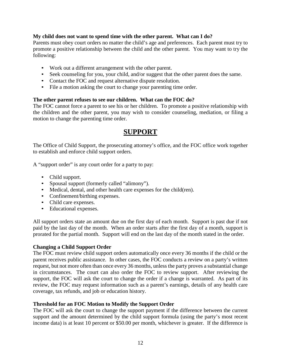#### **My child does not want to spend time with the other parent. What can I do?**

Parents must obey court orders no matter the child's age and preferences. Each parent must try to promote a positive relationship between the child and the other parent. You may want to try the following:

- Work out a different arrangement with the other parent.
- Seek counseling for you, your child, and/or suggest that the other parent does the same.
- Contact the FOC and request alternative dispute resolution.
- File a motion asking the court to change your parenting time order.

#### **The other parent refuses to see our children. What can the FOC do?**

<span id="page-14-0"></span>The FOC cannot force a parent to see his or her children. To promote a positive relationship with the children and the other parent, you may wish to consider counseling, mediation, or filing a motion to change the parenting time order.

# **SUPPORT**

The Office of Child Support, the prosecuting attorney's office, and the FOC office work together to establish and enforce child support orders.

A "support order" is any court order for a party to pay:

- Child support.
- Spousal support (formerly called "alimony").
- Medical, dental, and other health care expenses for the child(ren).
- Confinement/birthing expenses.
- Child care expenses.
- Educational expenses.

All support orders state an amount due on the first day of each month. Support is past due if not paid by the last day of the month. When an order starts after the first day of a month, support is prorated for the partial month. Support will end on the last day of the month stated in the order.

#### **Changing a Child Support Order**

The FOC must review child support orders automatically once every 36 months if the child or the parent receives public assistance. In other cases, the FOC conducts a review on a party's written request, but not more often than once every 36 months, unless the party proves a substantial change in circumstances. The court can also order the FOC to review support. After reviewing the support, the FOC will ask the court to change the order if a change is warranted. As part of its review, the FOC may request information such as a parent's earnings, details of any health care coverage, tax refunds, and job or education history.

#### **Threshold for an FOC Motion to Modify the Support Order**

The FOC will ask the court to change the support payment if the difference between the current support and the amount determined by the child support formula (using the party's most recent income data) is at least 10 percent or \$50.00 per month, whichever is greater. If the difference is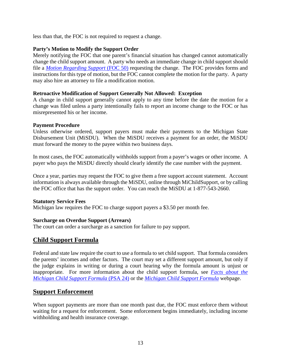less than that, the FOC is not required to request a change.

#### **Party's Motion to Modify the Support Order**

Merely notifying the FOC that one parent's financial situation has changed cannot automatically change the child support amount. A party who needs an immediate change in child support should file a *Motion Regarding Support* (FOC 50) requesting the change. The FOC provides forms and instructions for this type of motion, but the FOC cannot complete the motion for the party. A party may also hire an attorney to file a modification motion.

#### **Retroactive Modification of Support Generally Not Allowed: Exception**

A change in child support generally cannot apply to any time before the date the motion for a change was filed unless a party intentionally fails to report an income change to the FOC or has misrepresented his or her income.

#### **Payment Procedure**

Unless otherwise ordered, support payers must make their payments to the Michigan State Disbursement Unit (MiSDU). When the MiSDU receives a payment for an order, the MiSDU must forward the money to the payee within two business days.

In most cases, the FOC automatically withholds support from a payer's wages or other income. A payer who pays the MiSDU directly should clearly identify the case number with the payment.

Once a year, parties may request the FOC to give them a free support account statement. Account information is always available through the MiSDU, online through MiChildSupport, or by calling the FOC office that has the support order. You can reach the MiSDU at 1-877-543-2660.

#### **Statutory Service Fees**

Michigan law requires the FOC to charge support payers a \$3.50 per month fee.

#### **Surcharge on Overdue Support (Arrears)**

The court can order a surcharge as a sanction for failure to pay support.

# <span id="page-15-0"></span>**Child Support Formula**

Federal and state law require the court to use a formula to set child support. That formula considers the parents' incomes and other factors. The court may set a different support amount, but only if the judge explains in writing or during a court hearing why the formula amount is unjust or inappropriate. For more information about the child support formula, see *[Facts about the](https://courts.michigan.gov/Administration/SCAO/Resources/Documents/Publications/pamphlets/focb/PSA24-Text.pdf)  [Michigan Child Support Formula](https://courts.michigan.gov/Administration/SCAO/Resources/Documents/Publications/pamphlets/focb/PSA24-Text.pdf)* (PSA 24) or the *[Michigan Child Support Formula](https://courts.michigan.gov/Administration/SCAO/OfficesPrograms/FOC/Pages/Child-Support-Formula.aspx)* webpage.

### <span id="page-15-1"></span>**Support Enforcement**

When support payments are more than one month past due, the FOC must enforce them without waiting for a request for enforcement. Some enforcement begins immediately, including income withholding and health insurance coverage.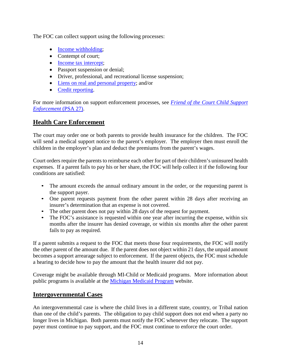The FOC can collect support using the following processes:

- Income withholding:
- Contempt of court;
- [Income tax intercept;](https://courts.michigan.gov/Administration/SCAO/Resources/Documents/Publications/pamphlets/focb/PSA13-Text.pdf)
- Passport suspension or denial;
- Driver, professional, and recreational license suspension;
- [Liens on real and personal property;](https://courts.michigan.gov/Administration/SCAO/Resources/Documents/Publications/pamphlets/focb/PSA23-Text.pdf) and/or
- [Credit reporting.](https://courts.michigan.gov/Administration/SCAO/Resources/Documents/Publications/pamphlets/focb/PSA33-text.pdf)

For more information on support enforcement processes, see *[Friend of the Court Child Support](https://courts.michigan.gov/Administration/SCAO/Resources/Documents/Publications/pamphlets/focb/PSA27-Text.pdf)  Enforcement* (PSA 27).

## <span id="page-16-0"></span>**Health Care Enforcement**

The court may order one or both parents to provide health insurance for the children. The FOC will send a medical support notice to the parent's employer. The employer then must enroll the children in the employer's plan and deduct the premiums from the parent's wages.

Court orders require the parents to reimburse each other for part of their children's uninsured health expenses. If a parent fails to pay his or her share, the FOC will help collect it if the following four conditions are satisfied:

- The amount exceeds the annual ordinary amount in the order, or the requesting parent is the support payer.
- One parent requests payment from the other parent within 28 days after receiving an insurer's determination that an expense is not covered.
- The other parent does not pay within 28 days of the request for payment.
- The FOC's assistance is requested within one year after incurring the expense, within six months after the insurer has denied coverage, or within six months after the other parent fails to pay as required.

If a parent submits a request to the FOC that meets those four requirements, the FOC will notify the other parent of the amount due. If the parent does not object within 21 days, the unpaid amount becomes a support arrearage subject to enforcement. If the parent objects, the FOC must schedule a hearing to decide how to pay the amount that the health insurer did not pay.

Coverage might be available through MI-Child or Medicaid programs. More information about public programs is available at the [Michigan Medicaid Program](https://www.michigan.gov/mdhhs/0,5885,7-339-71547_4860---,00.html) website.

# <span id="page-16-1"></span>**Intergovernmental Cases**

An intergovernmental case is where the child lives in a different state, country, or Tribal nation than one of the child's parents. The obligation to pay child support does not end when a party no longer lives in Michigan. Both parents must notify the FOC whenever they relocate. The support payer must continue to pay support, and the FOC must continue to enforce the court order.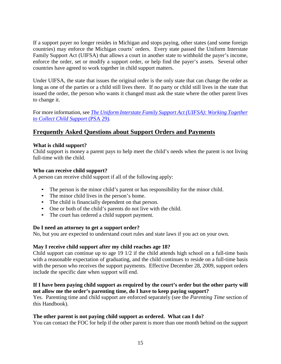If a support payer no longer resides in Michigan and stops paying, other states (and some foreign countries) may enforce the Michigan courts' orders. Every state passed the Uniform Interstate Family Support Act (UIFSA) that allows a court in another state to withhold the payer's income, enforce the order, set or modify a support order, or help find the payer's assets. Several other countries have agreed to work together in child support matters.

Under UIFSA, the state that issues the original order is the only state that can change the order as long as one of the parties or a child still lives there. If no party or child still lives in the state that issued the order, the person who wants it changed must ask the state where the other parent lives to change it.

For more information, see *[The Uniform Interstate Family Support Act \(UIFSA\): Working Together](https://courts.michigan.gov/Administration/SCAO/Resources/Documents/Publications/pamphlets/focb/PSA29-Text.pdf)  [to Collect Child Support](https://courts.michigan.gov/Administration/SCAO/Resources/Documents/Publications/pamphlets/focb/PSA29-Text.pdf)* (PSA 29).

# <span id="page-17-0"></span>**Frequently Asked Questions about Support Orders and Payments**

#### **What is child support?**

Child support is money a parent pays to help meet the child's needs when the parent is not living full-time with the child.

#### **Who can receive child support?**

A person can receive child support if all of the following apply:

- The person is the minor child's parent or has responsibility for the minor child.
- The minor child lives in the person's home.
- The child is financially dependent on that person.
- One or both of the child's parents do not live with the child.
- The court has ordered a child support payment.

#### **Do I need an attorney to get a support order?**

No, but you are expected to understand court rules and state laws if you act on your own.

#### **May I receive child support after my child reaches age 18?**

Child support can continue up to age 19 1/2 if the child attends high school on a full-time basis with a reasonable expectation of graduating, and the child continues to reside on a full-time basis with the person who receives the support payments. Effective December 28, 2009, support orders include the specific date when support will end.

#### **If I have been paying child support as required by the court's order but the other party will not allow me the order's parenting time, do I have to keep paying support?**

Yes. Parenting time and child support are enforced separately (see the *Parenting Time* section of this Handbook).

#### **The other parent is not paying child support as ordered. What can I do?**

You can contact the FOC for help if the other parent is more than one month behind on the support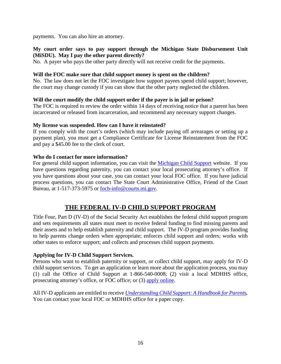payments. You can also hire an attorney.

#### **My court order says to pay support through the Michigan State Disbursement Unit (MiSDU). May I pay the other parent directly?**

No. A payer who pays the other party directly will not receive credit for the payments.

#### **Will the FOC make sure that child support money is spent on the children?**

No. The law does not let the FOC investigate how support payees spend child support; however, the court may change custody if you can show that the other party neglected the children.

#### **Will the court modify the child support order if the payer is in jail or prison?**

The FOC is required to review the order within 14 days of receiving notice that a parent has been incarcerated or released from incarceration, and recommend any necessary support changes.

#### **My license was suspended. How can I have it reinstated?**

If you comply with the court's orders (which may include paying off arrearages or setting up a payment plan), you must get a Compliance Certificate for License Reinstatement from the FOC and pay a \$45.00 fee to the clerk of court.

#### **Who do I contact for more information?**

For general child support information, you can visit the [Michigan Child Support](https://www.michigan.gov/MDHHS/0,5885,7-339-73971_5528---,00.html) website. If you have questions regarding paternity, you can contact your local prosecuting attorney's office. If you have questions about your case, you can contact your local FOC office. If you have judicial process questions, you can contact The State Court Administrative Office, Friend of the Court Bureau, at 1-517-373-5975 or [focb-info@courts.mi.gov.](mailto:focb-info@courts.mi.gov)

# **THE FEDERAL IV-D CHILD SUPPORT PROGRAM**

Title Four, Part D (IV-D) of the Social Security Act establishes the federal child support program and sets requirements all states must meet to receive federal funding to find missing parents and their assets and to help establish paternity and child support. The IV-D program provides funding to help parents change orders when appropriate; enforces child support and orders; works with other states to enforce support; and collects and processes child support payments.

#### **Applying for IV-D Child Support Services.**

Persons who want to establish paternity or support, or collect child support, may apply for IV-D child support services. To get an application or learn more about the application process, you may (1) call the Office of Child Support at 1-866-540-0008; (2) visit a local MDHHS office, prosecuting attorney's office, or FOC office; or (3) [apply online.](https://micase.state.mi.us/micaseapp/public/home.html?execution=e1s1)

All IV-D applicants are entitled to receive *[Understanding Child Support:](https://www.michigan.gov/documents/dhs/DHS-PUB-748_209001_7.pdf) A Handbook for Parents.* You can contact your local FOC or MDHHS office for a paper copy.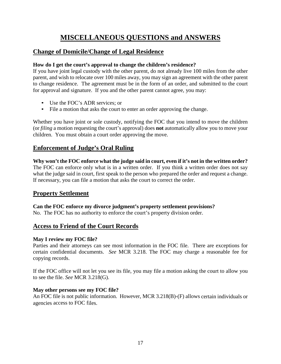# **MISCELLANEOUS QUESTIONS and ANSWERS**

# <span id="page-19-1"></span><span id="page-19-0"></span>**Change of Domicile/Change of Legal Residence**

#### **How do I get the court's approval to change the children's residence?**

If you have joint legal custody with the other parent, do not already live 100 miles from the other parent, and wish to relocate over 100 miles away, you may sign an agreement with the other parent to change residence. The agreement must be in the form of an order, and submitted to the court for approval and signature. If you and the other parent cannot agree, you may:

- Use the FOC's ADR services; or
- File a motion that asks the court to enter an order approving the change.

Whether you have joint or sole custody, notifying the FOC that you intend to move the children (or *filing* a motion requesting the court's approval) does **not** automatically allow you to move your children. You must obtain a court order approving the move.

# <span id="page-19-2"></span>**Enforcement of Judge's Oral Ruling**

**Why won't the FOC enforce what the judge said in court, even if it's not in the written order?** The FOC can enforce only what is in a written order. If you think a written order does not say what the judge said in court, first speak to the person who prepared the order and request a change. If necessary, you can file a motion that asks the court to correct the order.

# <span id="page-19-3"></span>**Property Settlement**

**Can the FOC enforce my divorce judgment's property settlement provisions?** No. The FOC has no authority to enforce the court's property division order.

# <span id="page-19-4"></span>**Access to Friend of the Court Records**

#### **May I review my FOC file?**

Parties and their attorneys can see most information in the FOC file. There are exceptions for certain confidential documents. *See* MCR 3.218. The FOC may charge a reasonable fee for copying records.

If the FOC office will not let you see its file, you may file a motion asking the court to allow you to see the file. *See* MCR 3.218(G).

#### **May other persons see my FOC file?**

An FOC file is not public information. However, MCR 3.218(B)-(F) allows certain individuals or agencies access to FOC files.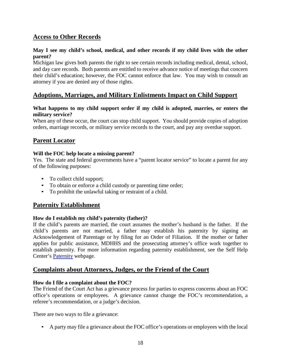# <span id="page-20-0"></span>**Access to Other Records**

#### **May I see my child's school, medical, and other records if my child lives with the other parent?**

Michigan law gives both parents the right to see certain records including medical, dental, school, and day care records. Both parents are entitled to receive advance notice of meetings that concern their child's education; however, the FOC cannot enforce that law. You may wish to consult an attorney if you are denied any of those rights.

## <span id="page-20-1"></span>**Adoptions, Marriages, and Military Enlistments Impact on Child Support**

#### **What happens to my child support order if my child is adopted, marries, or enters the military service?**

When any of these occur, the court can stop child support. You should provide copies of adoption orders, marriage records, or military service records to the court, and pay any overdue support.

### <span id="page-20-2"></span>**Parent Locator**

#### **Will the FOC help locate a missing parent?**

Yes. The state and federal governments have a "parent locator service" to locate a parent for any of the following purposes:

- To collect child support;
- To obtain or enforce a child custody or parenting time order;
- To prohibit the unlawful taking or restraint of a child.

### <span id="page-20-3"></span>**Paternity Establishment**

#### **How do I establish my child's paternity (father)?**

If the child's parents are married, the court assumes the mother's husband is the father. If the child's parents are not married, a father may establish his paternity by signing an Acknowledgement of Parentage or by filing for an Order of Filiation. If the mother or father applies for public assistance, MDHHS and the prosecuting attorney's office work together to establish paternity. For more information regarding paternity establishment, see the Self Help Center's [Paternity](https://courts.michigan.gov/Self-help/center/casetype/Pages/Paternity.aspx) webpage.

#### <span id="page-20-4"></span>**Complaints about Attorneys, Judges, or the Friend of the Court**

#### **How do I file a complaint about the FOC?**

The Friend of the Court Act has a grievance process for parties to express concerns about an FOC office's operations or employees. A grievance cannot change the FOC's recommendation, a referee's recommendation, or a judge's decision.

There are two ways to file a grievance:

• A party may file a grievance about the FOC office's operations or employees with the local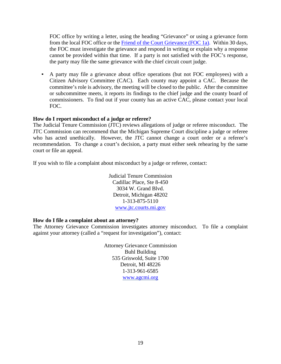FOC office by writing a letter, using the heading "Grievance" or using a grievance form from the local FOC office or the [Friend of the Court Grievance \(FOC 1a\).](https://courts.michigan.gov/Administration/SCAO/Forms/courtforms/foc1a.pdf) Within 30 days, the FOC must investigate the grievance and respond in writing or explain why a response cannot be provided within that time. If a party is not satisfied with the FOC's response, the party may file the same grievance with the chief circuit court judge.

• A party may file a grievance about office operations (but not FOC employees) with a Citizen Advisory Committee (CAC). Each county may appoint a CAC. Because the committee's role is advisory, the meeting will be closed to the public. After the committee or subcommittee meets, it reports its findings to the chief judge and the county board of commissioners. To find out if your county has an active CAC, please contact your local FOC.

#### **How do I report misconduct of a judge or referee?**

The Judicial Tenure Commission (JTC) reviews allegations of judge or referee misconduct. The JTC Commission can recommend that the Michigan Supreme Court discipline a judge or referee who has acted unethically. However, the JTC cannot change a court order or a referee's recommendation. To change a court's decision, a party must either seek rehearing by the same court or file an appeal.

If you wish to file a complaint about misconduct by a judge or referee, contact:

Judicial Tenure Commission Cadillac Place, Ste 8-450 3034 W. Grand Blvd. Detroit, Michigan 48202 1-313-875-5110 [www.jtc.courts.mi.gov](http://jtc.courts.mi.gov/)

#### **How do I file a complaint about an attorney?**

The Attorney Grievance Commission investigates attorney misconduct. To file a complaint against your attorney (called a "request for investigation"), contact:

> Attorney Grievance Commission Buhl Building 535 Griswold, Suite 1700 Detroit, MI 48226 1-313-961-6585 [www.agcmi.org](http://www.agcmi.org/)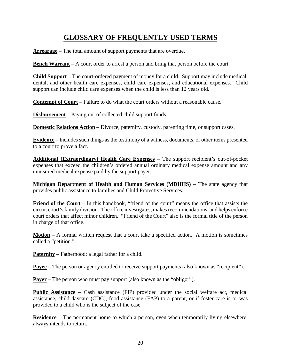# **GLOSSARY OF FREQUENTLY USED TERMS**

<span id="page-22-0"></span>**Arrearage** – The total amount of support payments that are overdue.

**Bench Warrant** – A court order to arrest a person and bring that person before the court.

**Child Support** – The court-ordered payment of money for a child. Support may include medical, dental, and other health care expenses, child care expenses, and educational expenses. Child support can include child care expenses when the child is less than 12 years old.

**Contempt of Court** – Failure to do what the court orders without a reasonable cause.

**Disbursement** – Paying out of collected child support funds.

**Domestic Relations Action** – Divorce, paternity, custody, parenting time, or support cases.

**Evidence** – Includes such things as the testimony of a witness, documents, or other items presented to a court to prove a fact.

**Additional (Extraordinary) Health Care Expenses** – The support recipient's out-of-pocket expenses that exceed the children's ordered annual ordinary medical expense amount and any uninsured medical expense paid by the support payer.

**Michigan Department of Health and Human Services (MDHHS)** – The state agency that provides public assistance to families and Child Protective Services.

**Friend of the Court** – In this handbook, "friend of the court" means the office that assists the circuit court's family division. The office investigates, makes recommendations, and helps enforce court orders that affect minor children. "Friend of the Court" also is the formal title of the person in charge of that office.

**Motion** – A formal written request that a court take a specified action. A motion is sometimes called a "petition."

**Paternity** – Fatherhood; a legal father for a child.

**Payee** – The person or agency entitled to receive support payments (also known as "recipient").

**Payer** – The person who must pay support (also known as the "obligor").

**Public Assistance** – Cash assistance (FIP) provided under the social welfare act, medical assistance, child daycare (CDC), food assistance (FAP) to a parent, or if foster care is or was provided to a child who is the subject of the case.

**Residence** – The permanent home to which a person, even when temporarily living elsewhere, always intends to return.